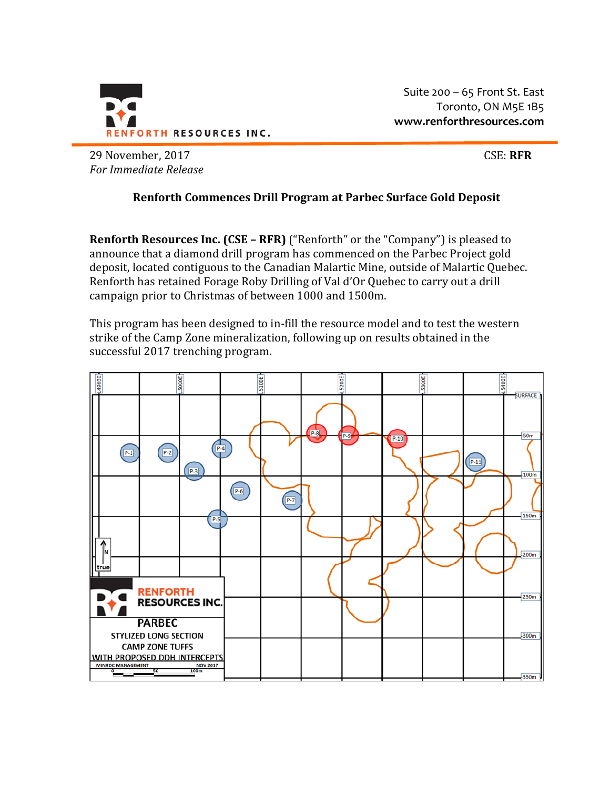

Suite 200 – 65 Front St. East Toronto, ON M5E 1B5 **www.renforthresources.com**

29 November, 2017 CSE: **RFR** *For Immediate Release*

## **Renforth Commences Drill Program at Parbec Surface Gold Deposit**

**Renforth Resources Inc. (CSE – RFR)** ("Renforth" or the "Company") is pleased to announce that a diamond drill program has commenced on the Parbec Project gold deposit, located contiguous to the Canadian Malartic Mine, outside of Malartic Quebec. Renforth has retained Forage Roby Drilling of Val d'Or Quebec to carry out a drill campaign prior to Christmas of between 1000 and 1500m.

This program has been designed to in-fill the resource model and to test the western strike of the Camp Zone mineralization, following up on results obtained in the successful 2017 trenching program.

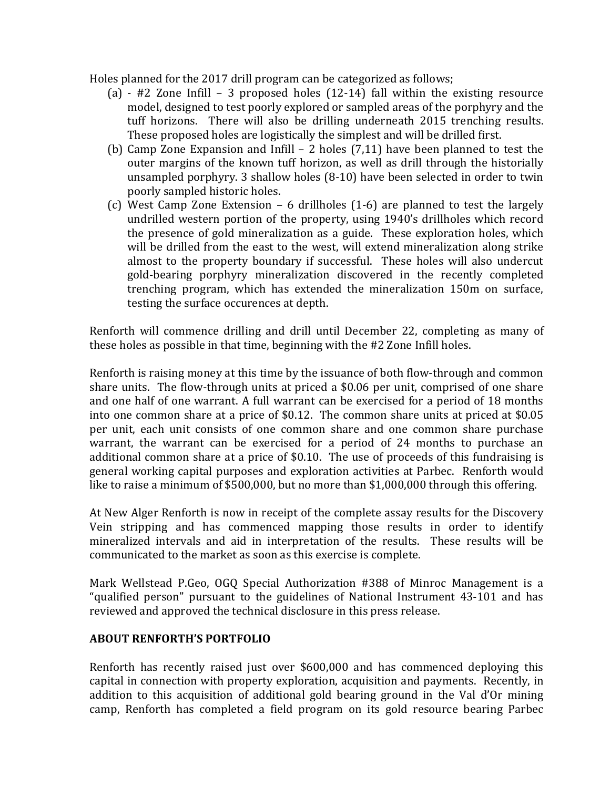Holes planned for the 2017 drill program can be categorized as follows;

- (a) #2 Zone Infill 3 proposed holes (12-14) fall within the existing resource model, designed to test poorly explored or sampled areas of the porphyry and the tuff horizons. There will also be drilling underneath 2015 trenching results. These proposed holes are logistically the simplest and will be drilled first.
- (b) Camp Zone Expansion and Infill 2 holes (7,11) have been planned to test the outer margins of the known tuff horizon, as well as drill through the historially unsampled porphyry. 3 shallow holes (8-10) have been selected in order to twin poorly sampled historic holes.
- (c) West Camp Zone Extension 6 drillholes (1-6) are planned to test the largely undrilled western portion of the property, using 1940's drillholes which record the presence of gold mineralization as a guide. These exploration holes, which will be drilled from the east to the west, will extend mineralization along strike almost to the property boundary if successful. These holes will also undercut gold-bearing porphyry mineralization discovered in the recently completed trenching program, which has extended the mineralization 150m on surface, testing the surface occurences at depth.

Renforth will commence drilling and drill until December 22, completing as many of these holes as possible in that time, beginning with the #2 Zone Infill holes.

Renforth is raising money at this time by the issuance of both flow-through and common share units. The flow-through units at priced a \$0.06 per unit, comprised of one share and one half of one warrant. A full warrant can be exercised for a period of 18 months into one common share at a price of \$0.12. The common share units at priced at \$0.05 per unit, each unit consists of one common share and one common share purchase warrant, the warrant can be exercised for a period of 24 months to purchase an additional common share at a price of \$0.10. The use of proceeds of this fundraising is general working capital purposes and exploration activities at Parbec. Renforth would like to raise a minimum of \$500,000, but no more than \$1,000,000 through this offering.

At New Alger Renforth is now in receipt of the complete assay results for the Discovery Vein stripping and has commenced mapping those results in order to identify mineralized intervals and aid in interpretation of the results. These results will be communicated to the market as soon as this exercise is complete.

Mark Wellstead P.Geo, OGQ Special Authorization #388 of Minroc Management is a "qualified person" pursuant to the guidelines of National Instrument 43-101 and has reviewed and approved the technical disclosure in this press release.

## **ABOUT RENFORTH'S PORTFOLIO**

Renforth has recently raised just over \$600,000 and has commenced deploying this capital in connection with property exploration, acquisition and payments. Recently, in addition to this acquisition of additional gold bearing ground in the Val d'Or mining camp, Renforth has completed a field program on its gold resource bearing Parbec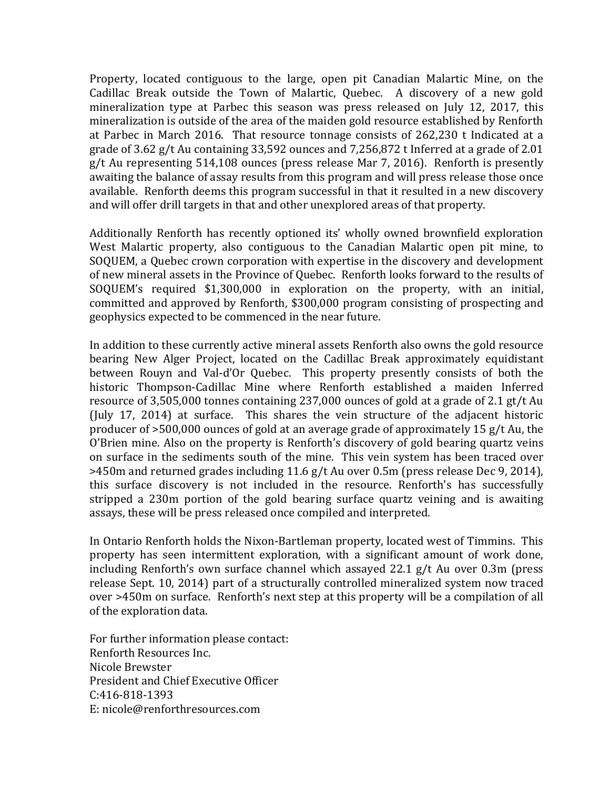Property, located contiguous to the large, open pit Canadian Malartic Mine, on the Cadillac Break outside the Town of Malartic, Quebec. A discovery of a new gold mineralization type at Parbec this season was press released on July 12, 2017, this mineralization is outside of the area of the maiden gold resource established by Renforth at Parbec in March 2016. That resource tonnage consists of 262,230 t Indicated at a grade of 3.62 g/t Au containing 33,592 ounces and 7,256,872 t Inferred at a grade of 2.01 g/t Au representing 514,108 ounces (press release Mar 7, 2016). Renforth is presently awaiting the balance of assay results from this program and will press release those once available. Renforth deems this program successful in that it resulted in a new discovery and will offer drill targets in that and other unexplored areas of that property.

Additionally Renforth has recently optioned its' wholly owned brownfield exploration West Malartic property, also contiguous to the Canadian Malartic open pit mine, to SOQUEM, a Quebec crown corporation with expertise in the discovery and development of new mineral assets in the Province of Quebec. Renforth looks forward to the results of SOQUEM's required \$1,300,000 in exploration on the property, with an initial, committed and approved by Renforth, \$300,000 program consisting of prospecting and geophysics expected to be commenced in the near future.

In addition to these currently active mineral assets Renforth also owns the gold resource bearing New Alger Project, located on the Cadillac Break approximately equidistant between Rouyn and Val-d'Or Quebec. This property presently consists of both the historic Thompson-Cadillac Mine where Renforth established a maiden Inferred resource of 3,505,000 tonnes containing 237,000 ounces of gold at a grade of 2.1 gt/t Au (July 17, 2014) at surface. This shares the vein structure of the adjacent historic producer of >500,000 ounces of gold at an average grade of approximately 15 g/t Au, the O'Brien mine. Also on the property is Renforth's discovery of gold bearing quartz veins on surface in the sediments south of the mine. This vein system has been traced over >450m and returned grades including 11.6 g/t Au over 0.5m (press release Dec 9, 2014), this surface discovery is not included in the resource. Renforth's has successfully stripped a 230m portion of the gold bearing surface quartz veining and is awaiting assays, these will be press released once compiled and interpreted.

In Ontario Renforth holds the Nixon-Bartleman property, located west of Timmins. This property has seen intermittent exploration, with a significant amount of work done, including Renforth's own surface channel which assayed 22.1 g/t Au over 0.3m (press release Sept. 10, 2014) part of a structurally controlled mineralized system now traced over >450m on surface. Renforth's next step at this property will be a compilation of all of the exploration data.

For further information please contact: Renforth Resources Inc. Nicole Brewster President and Chief Executive Officer C:416-818-1393 E: nicole@renforthresources.com